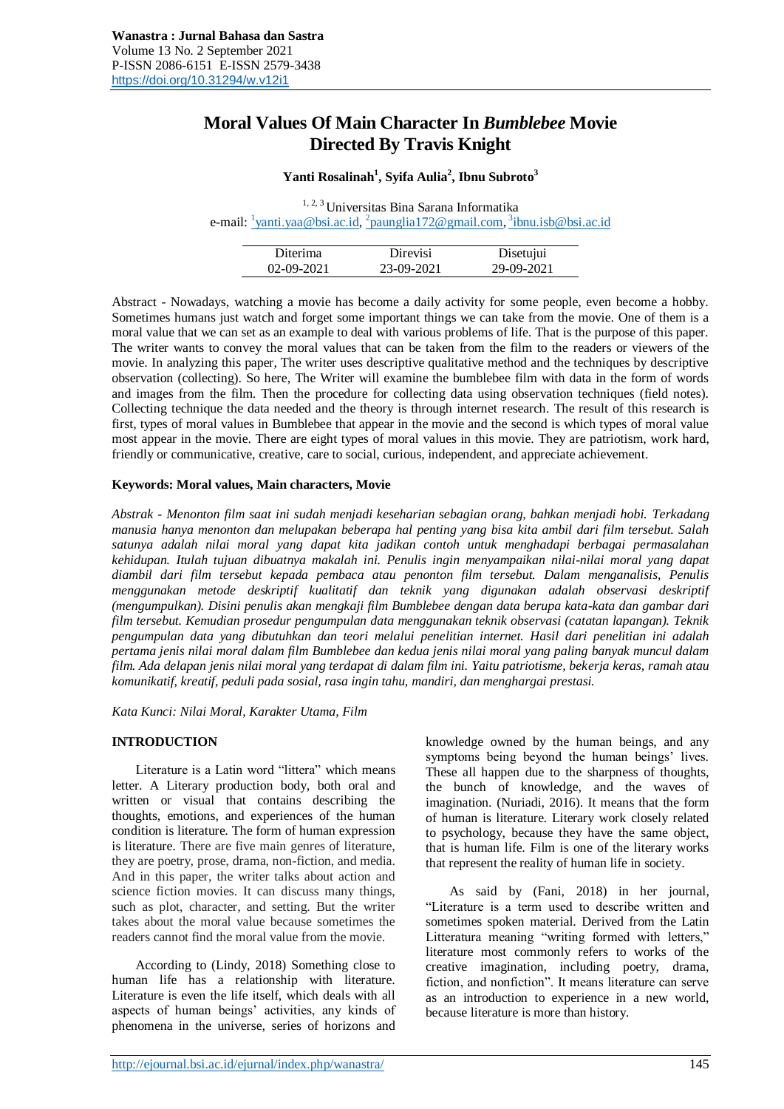# **Moral Values Of Main Character In** *Bumblebee* **Movie Directed By Travis Knight**

# **Yanti Rosalinah<sup>1</sup> , Syifa Aulia<sup>2</sup> , Ibnu Subroto<sup>3</sup>**

<sup>1, 2, 3</sup> Universitas Bina Sarana Informatika e-mail: <sup>1</sup>[yanti.yaa@bsi.ac.id,](mailto:1yanti.yaa@bsi.ac.id) <sup>2</sup>[paunglia172@gmail.com,](mailto:2paunglia172@gmail.com) <sup>3</sup>[ibnu.isb@bsi.ac.id](mailto:3ibnu.isb@bsi.ac.id)

| Diterima         | Direvisi   | Disetujui  |
|------------------|------------|------------|
| $02 - 09 - 2021$ | 23-09-2021 | 29-09-2021 |

Abstract - Nowadays, watching a movie has become a daily activity for some people, even become a hobby. Sometimes humans just watch and forget some important things we can take from the movie. One of them is a moral value that we can set as an example to deal with various problems of life. That is the purpose of this paper. The writer wants to convey the moral values that can be taken from the film to the readers or viewers of the movie. In analyzing this paper, The writer uses descriptive qualitative method and the techniques by descriptive observation (collecting). So here, The Writer will examine the bumblebee film with data in the form of words and images from the film. Then the procedure for collecting data using observation techniques (field notes). Collecting technique the data needed and the theory is through internet research. The result of this research is first, types of moral values in Bumblebee that appear in the movie and the second is which types of moral value most appear in the movie. There are eight types of moral values in this movie. They are patriotism, work hard, friendly or communicative, creative, care to social, curious, independent, and appreciate achievement.

### **Keywords: Moral values, Main characters, Movie**

*Abstrak - Menonton film saat ini sudah menjadi keseharian sebagian orang, bahkan menjadi hobi. Terkadang manusia hanya menonton dan melupakan beberapa hal penting yang bisa kita ambil dari film tersebut. Salah satunya adalah nilai moral yang dapat kita jadikan contoh untuk menghadapi berbagai permasalahan kehidupan. Itulah tujuan dibuatnya makalah ini. Penulis ingin menyampaikan nilai-nilai moral yang dapat diambil dari film tersebut kepada pembaca atau penonton film tersebut. Dalam menganalisis, Penulis menggunakan metode deskriptif kualitatif dan teknik yang digunakan adalah observasi deskriptif (mengumpulkan). Disini penulis akan mengkaji film Bumblebee dengan data berupa kata-kata dan gambar dari film tersebut. Kemudian prosedur pengumpulan data menggunakan teknik observasi (catatan lapangan). Teknik pengumpulan data yang dibutuhkan dan teori melalui penelitian internet. Hasil dari penelitian ini adalah pertama jenis nilai moral dalam film Bumblebee dan kedua jenis nilai moral yang paling banyak muncul dalam film. Ada delapan jenis nilai moral yang terdapat di dalam film ini. Yaitu patriotisme, bekerja keras, ramah atau komunikatif, kreatif, peduli pada sosial, rasa ingin tahu, mandiri, dan menghargai prestasi.* 

*Kata Kunci: Nilai Moral, Karakter Utama, Film*

#### **INTRODUCTION**

Literature is a Latin word "littera" which means letter. A Literary production body, both oral and written or visual that contains describing the thoughts, emotions, and experiences of the human condition is literature. The form of human expression is literature. There are five main genres of literature, they are poetry, prose, drama, non-fiction, and media. And in this paper, the writer talks about action and science fiction movies. It can discuss many things, such as plot, character, and setting. But the writer takes about the moral value because sometimes the readers cannot find the moral value from the movie.

According to (Lindy, 2018) Something close to human life has a relationship with literature. Literature is even the life itself, which deals with all aspects of human beings' activities, any kinds of phenomena in the universe, series of horizons and knowledge owned by the human beings, and any symptoms being beyond the human beings' lives. These all happen due to the sharpness of thoughts, the bunch of knowledge, and the waves of imagination. (Nuriadi, 2016). It means that the form of human is literature. Literary work closely related to psychology, because they have the same object, that is human life. Film is one of the literary works that represent the reality of human life in society.

As said by (Fani, 2018) in her journal, "Literature is a term used to describe written and sometimes spoken material. Derived from the Latin Litteratura meaning "writing formed with letters," literature most commonly refers to works of the creative imagination, including poetry, drama, fiction, and nonfiction". It means literature can serve as an introduction to experience in a new world, because literature is more than history.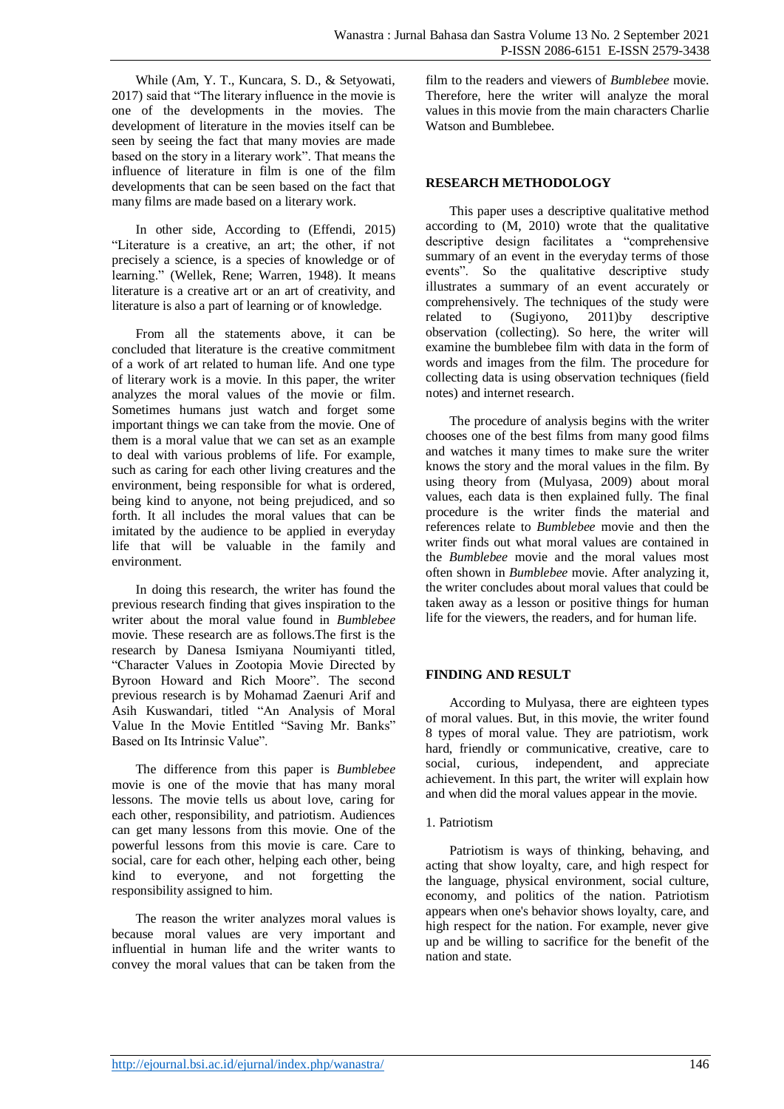While (Am, Y. T., Kuncara, S. D., & Setyowati, 2017) said that "The literary influence in the movie is one of the developments in the movies. The development of literature in the movies itself can be seen by seeing the fact that many movies are made based on the story in a literary work". That means the influence of literature in film is one of the film developments that can be seen based on the fact that many films are made based on a literary work.

In other side, According to (Effendi, 2015) "Literature is a creative, an art; the other, if not precisely a science, is a species of knowledge or of learning." (Wellek, Rene; Warren, 1948). It means literature is a creative art or an art of creativity, and literature is also a part of learning or of knowledge.

From all the statements above, it can be concluded that literature is the creative commitment of a work of art related to human life. And one type of literary work is a movie. In this paper, the writer analyzes the moral values of the movie or film. Sometimes humans just watch and forget some important things we can take from the movie. One of them is a moral value that we can set as an example to deal with various problems of life. For example, such as caring for each other living creatures and the environment, being responsible for what is ordered, being kind to anyone, not being prejudiced, and so forth. It all includes the moral values that can be imitated by the audience to be applied in everyday life that will be valuable in the family and environment.

In doing this research, the writer has found the previous research finding that gives inspiration to the writer about the moral value found in *Bumblebee*  movie. These research are as follows.The first is the research by Danesa Ismiyana Noumiyanti titled, "Character Values in Zootopia Movie Directed by Byroon Howard and Rich Moore". The second previous research is by Mohamad Zaenuri Arif and Asih Kuswandari, titled "An Analysis of Moral Value In the Movie Entitled "Saving Mr. Banks" Based on Its Intrinsic Value".

The difference from this paper is *Bumblebee*  movie is one of the movie that has many moral lessons. The movie tells us about love, caring for each other, responsibility, and patriotism. Audiences can get many lessons from this movie. One of the powerful lessons from this movie is care. Care to social, care for each other, helping each other, being kind to everyone, and not forgetting the responsibility assigned to him.

The reason the writer analyzes moral values is because moral values are very important and influential in human life and the writer wants to convey the moral values that can be taken from the

film to the readers and viewers of *Bumblebee* movie. Therefore, here the writer will analyze the moral values in this movie from the main characters Charlie Watson and Bumblebee.

# **RESEARCH METHODOLOGY**

This paper uses a descriptive qualitative method according to (M, 2010) wrote that the qualitative descriptive design facilitates a "comprehensive summary of an event in the everyday terms of those events". So the qualitative descriptive study illustrates a summary of an event accurately or comprehensively. The techniques of the study were<br>related to (Sugivono, 2011)by descriptive related to  $(Sugiyono, 2011)$ by observation (collecting). So here, the writer will examine the bumblebee film with data in the form of words and images from the film. The procedure for collecting data is using observation techniques (field notes) and internet research.

The procedure of analysis begins with the writer chooses one of the best films from many good films and watches it many times to make sure the writer knows the story and the moral values in the film. By using theory from (Mulyasa, 2009) about moral values, each data is then explained fully. The final procedure is the writer finds the material and references relate to *Bumblebee* movie and then the writer finds out what moral values are contained in the *Bumblebee* movie and the moral values most often shown in *Bumblebee* movie. After analyzing it, the writer concludes about moral values that could be taken away as a lesson or positive things for human life for the viewers, the readers, and for human life.

# **FINDING AND RESULT**

According to Mulyasa, there are eighteen types of moral values. But, in this movie, the writer found 8 types of moral value. They are patriotism, work hard, friendly or communicative, creative, care to social, curious, independent, and appreciate achievement. In this part, the writer will explain how and when did the moral values appear in the movie.

# 1. Patriotism

Patriotism is ways of thinking, behaving, and acting that show loyalty, care, and high respect for the language, physical environment, social culture, economy, and politics of the nation. Patriotism appears when one's behavior shows loyalty, care, and high respect for the nation. For example, never give up and be willing to sacrifice for the benefit of the nation and state.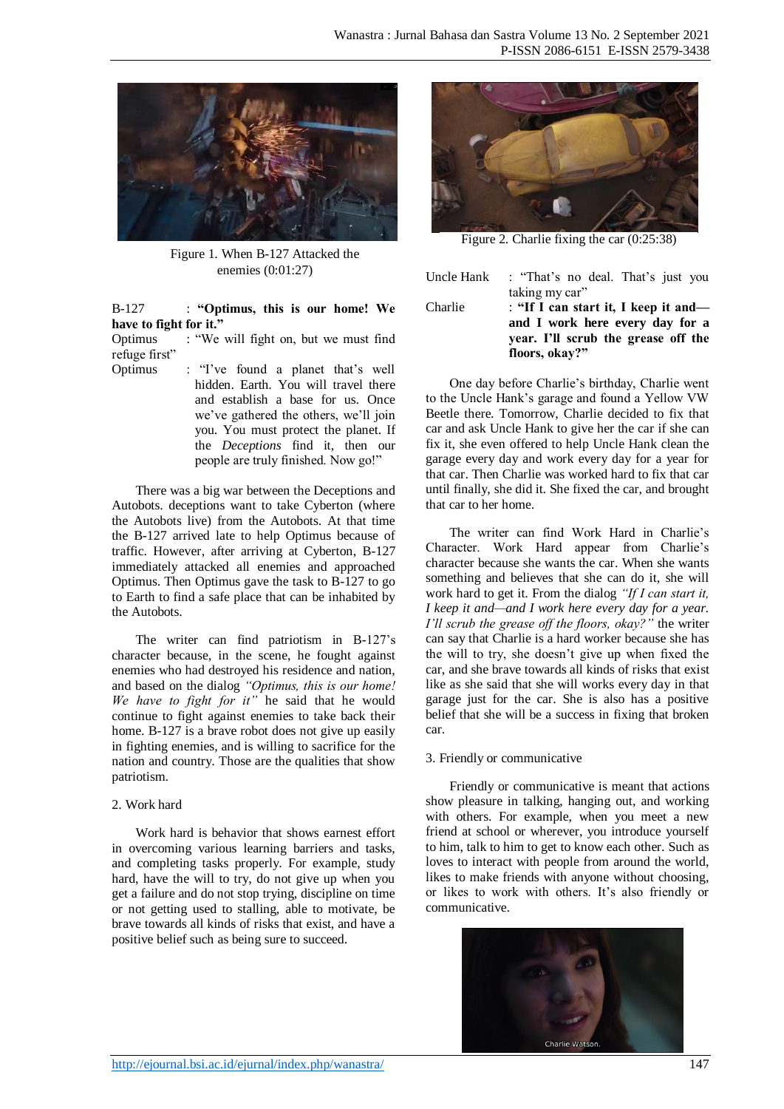

Figure 1. When B-127 Attacked the enemies (0:01:27)

B-127 : **"Optimus, this is our home! We have to fight for it."**

Optimus : "We will fight on, but we must find refuge first"

Optimus : "I've found a planet that's well hidden. Earth. You will travel there and establish a base for us. Once we've gathered the others, we'll join you. You must protect the planet. If the *Deceptions* find it, then our people are truly finished. Now go!"

There was a big war between the Deceptions and Autobots. deceptions want to take Cyberton (where the Autobots live) from the Autobots. At that time the B-127 arrived late to help Optimus because of traffic. However, after arriving at Cyberton, B-127 immediately attacked all enemies and approached Optimus. Then Optimus gave the task to B-127 to go to Earth to find a safe place that can be inhabited by the Autobots.

The writer can find patriotism in B-127's character because, in the scene, he fought against enemies who had destroyed his residence and nation, and based on the dialog *"Optimus, this is our home! We have to fight for it"* he said that he would continue to fight against enemies to take back their home. B-127 is a brave robot does not give up easily in fighting enemies, and is willing to sacrifice for the nation and country. Those are the qualities that show patriotism.

### 2. Work hard

Work hard is behavior that shows earnest effort in overcoming various learning barriers and tasks, and completing tasks properly. For example, study hard, have the will to try, do not give up when you get a failure and do not stop trying, discipline on time or not getting used to stalling, able to motivate, be brave towards all kinds of risks that exist, and have a positive belief such as being sure to succeed.



Figure 2. Charlie fixing the car (0:25:38)

Uncle Hank : "That's no deal. That's just you taking my car"

Charlie : **"If I can start it, I keep it and and I work here every day for a year. I'll scrub the grease off the floors, okay?"**

One day before Charlie's birthday, Charlie went to the Uncle Hank's garage and found a Yellow VW Beetle there. Tomorrow, Charlie decided to fix that car and ask Uncle Hank to give her the car if she can fix it, she even offered to help Uncle Hank clean the garage every day and work every day for a year for that car. Then Charlie was worked hard to fix that car until finally, she did it. She fixed the car, and brought that car to her home.

The writer can find Work Hard in Charlie's Character. Work Hard appear from Charlie's character because she wants the car. When she wants something and believes that she can do it, she will work hard to get it. From the dialog *"If I can start it, I keep it and—and I work here every day for a year. I'll scrub the grease off the floors, okay?"* the writer can say that Charlie is a hard worker because she has the will to try, she doesn't give up when fixed the car, and she brave towards all kinds of risks that exist like as she said that she will works every day in that garage just for the car. She is also has a positive belief that she will be a success in fixing that broken car.

### 3. Friendly or communicative

Friendly or communicative is meant that actions show pleasure in talking, hanging out, and working with others. For example, when you meet a new friend at school or wherever, you introduce yourself to him, talk to him to get to know each other. Such as loves to interact with people from around the world, likes to make friends with anyone without choosing, or likes to work with others. It's also friendly or communicative.

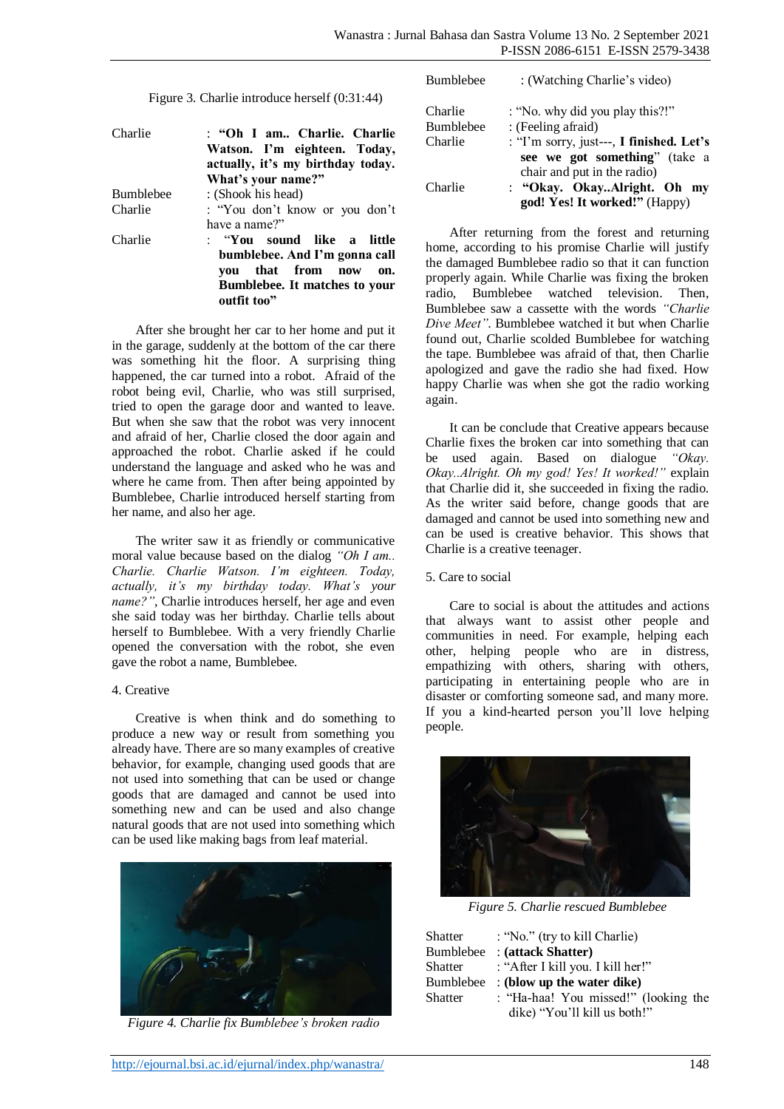Figure 3. Charlie introduce herself (0:31:44)

| Charlie          | : "Oh I am Charlie. Charlie<br>Watson. I'm eighteen. Today,<br>actually, it's my birthday today. |
|------------------|--------------------------------------------------------------------------------------------------|
|                  | What's your name?"                                                                               |
| <b>Bumblebee</b> | : (Shook his head)                                                                               |
| Charlie          | : "You don't know or you don't                                                                   |
|                  | have a name?"                                                                                    |
| Charlie          | : "You sound like a little<br>bumblebee. And I'm gonna call<br>vou that from now<br>on.          |
|                  | <b>Bumblebee.</b> It matches to your<br>outfit too"                                              |

After she brought her car to her home and put it in the garage, suddenly at the bottom of the car there was something hit the floor. A surprising thing happened, the car turned into a robot. Afraid of the robot being evil, Charlie, who was still surprised, tried to open the garage door and wanted to leave. But when she saw that the robot was very innocent and afraid of her, Charlie closed the door again and approached the robot. Charlie asked if he could understand the language and asked who he was and where he came from. Then after being appointed by Bumblebee, Charlie introduced herself starting from her name, and also her age.

The writer saw it as friendly or communicative moral value because based on the dialog *"Oh I am.. Charlie. Charlie Watson. I'm eighteen. Today, actually, it's my birthday today. What's your name?"*, Charlie introduces herself, her age and even she said today was her birthday. Charlie tells about herself to Bumblebee. With a very friendly Charlie opened the conversation with the robot, she even gave the robot a name, Bumblebee.

#### 4. Creative

Creative is when think and do something to produce a new way or result from something you already have. There are so many examples of creative behavior, for example, changing used goods that are not used into something that can be used or change goods that are damaged and cannot be used into something new and can be used and also change natural goods that are not used into something which can be used like making bags from leaf material.



*Figure 4. Charlie fix Bumblebee's broken radio*

| <b>Bumblebee</b>            | : (Watching Charlie's video)                                                                             |
|-----------------------------|----------------------------------------------------------------------------------------------------------|
| Charlie<br><b>Bumblebee</b> | : "No. why did you play this?!"<br>: (Feeling afraid)                                                    |
| Charlie                     | : "I'm sorry, just---, I finished. Let's<br>see we got something" (take a<br>chair and put in the radio) |
| Charlie                     | : "Okay. OkayAlright. Oh my<br>god! Yes! It worked!" (Happy)                                             |

After returning from the forest and returning home, according to his promise Charlie will justify the damaged Bumblebee radio so that it can function properly again. While Charlie was fixing the broken radio, Bumblebee watched television. Then, Bumblebee saw a cassette with the words *"Charlie Dive Meet"*. Bumblebee watched it but when Charlie found out, Charlie scolded Bumblebee for watching the tape. Bumblebee was afraid of that, then Charlie apologized and gave the radio she had fixed. How happy Charlie was when she got the radio working again.

It can be conclude that Creative appears because Charlie fixes the broken car into something that can be used again. Based on dialogue *"Okay. Okay..Alright. Oh my god! Yes! It worked!"* explain that Charlie did it, she succeeded in fixing the radio. As the writer said before, change goods that are damaged and cannot be used into something new and can be used is creative behavior. This shows that Charlie is a creative teenager.

### 5. Care to social

Care to social is about the attitudes and actions that always want to assist other people and communities in need. For example, helping each other, helping people who are in distress, empathizing with others, sharing with others, participating in entertaining people who are in disaster or comforting someone sad, and many more. If you a kind-hearted person you'll love helping people.



*Figure 5. Charlie rescued Bumblebee*

| Shatter   | : "No." (try to kill Charlie)        |
|-----------|--------------------------------------|
| Bumblebee | : (attack Shatter)                   |
| Shatter   | : "After I kill you. I kill her!"    |
| Bumblebee | $:$ (blow up the water dike)         |
| Shatter   | : "Ha-haa! You missed!" (looking the |
|           | dike) "You'll kill us both!"         |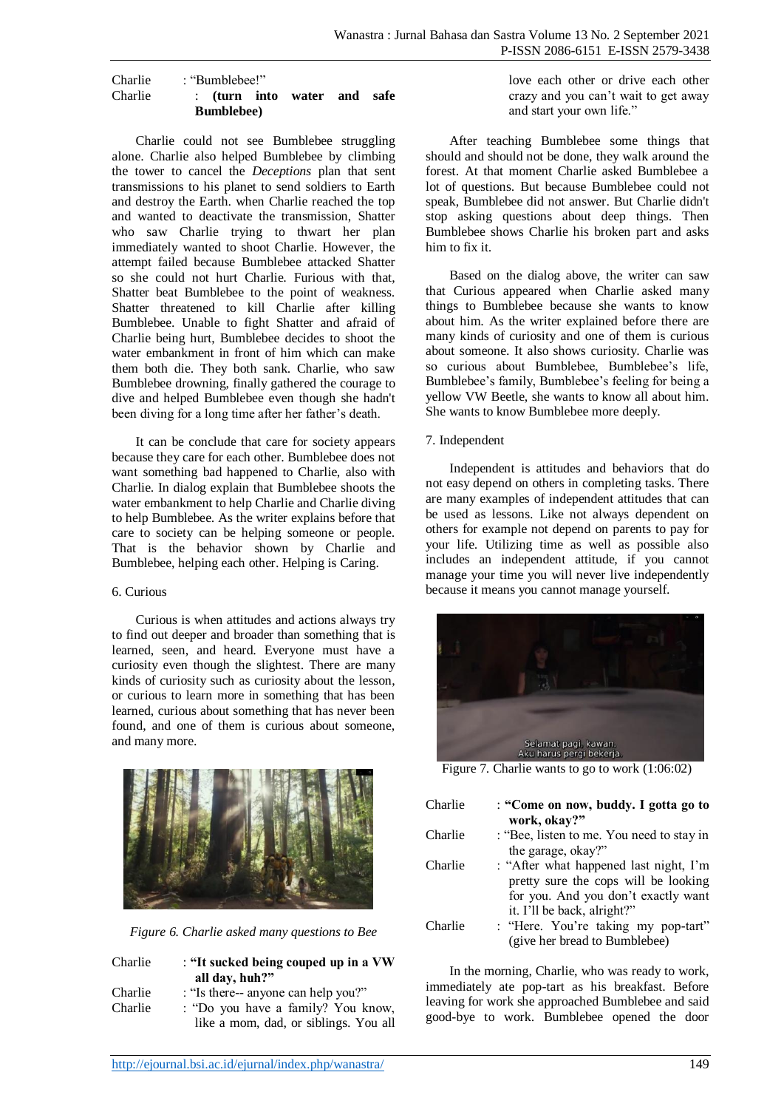#### Charlie : "Bumblebee!" Charlie : **(turn into water and safe Bumblebee)**

Charlie could not see Bumblebee struggling alone. Charlie also helped Bumblebee by climbing the tower to cancel the *Deceptions* plan that sent transmissions to his planet to send soldiers to Earth and destroy the Earth. when Charlie reached the top and wanted to deactivate the transmission, Shatter who saw Charlie trying to thwart her plan immediately wanted to shoot Charlie. However, the attempt failed because Bumblebee attacked Shatter so she could not hurt Charlie. Furious with that, Shatter beat Bumblebee to the point of weakness. Shatter threatened to kill Charlie after killing Bumblebee. Unable to fight Shatter and afraid of Charlie being hurt, Bumblebee decides to shoot the water embankment in front of him which can make them both die. They both sank. Charlie, who saw Bumblebee drowning, finally gathered the courage to dive and helped Bumblebee even though she hadn't been diving for a long time after her father's death.

It can be conclude that care for society appears because they care for each other. Bumblebee does not want something bad happened to Charlie, also with Charlie. In dialog explain that Bumblebee shoots the water embankment to help Charlie and Charlie diving to help Bumblebee. As the writer explains before that care to society can be helping someone or people. That is the behavior shown by Charlie and Bumblebee, helping each other. Helping is Caring.

### 6. Curious

Curious is when attitudes and actions always try to find out deeper and broader than something that is learned, seen, and heard. Everyone must have a curiosity even though the slightest. There are many kinds of curiosity such as curiosity about the lesson, or curious to learn more in something that has been learned, curious about something that has never been found, and one of them is curious about someone, and many more.



*Figure 6. Charlie asked many questions to Bee*

| Charlie | : "It sucked being couped up in a VW  |
|---------|---------------------------------------|
|         | all day, huh?"                        |
| Charlie | : "Is there-- anyone can help you?"   |
| Charlie | : "Do you have a family? You know,    |
|         | like a mom, dad, or siblings. You all |

love each other or drive each other crazy and you can't wait to get away and start your own life."

After teaching Bumblebee some things that should and should not be done, they walk around the forest. At that moment Charlie asked Bumblebee a lot of questions. But because Bumblebee could not speak, Bumblebee did not answer. But Charlie didn't stop asking questions about deep things. Then Bumblebee shows Charlie his broken part and asks him to fix it.

Based on the dialog above, the writer can saw that Curious appeared when Charlie asked many things to Bumblebee because she wants to know about him. As the writer explained before there are many kinds of curiosity and one of them is curious about someone. It also shows curiosity. Charlie was so curious about Bumblebee, Bumblebee's life, Bumblebee's family, Bumblebee's feeling for being a yellow VW Beetle, she wants to know all about him. She wants to know Bumblebee more deeply.

## 7. Independent

Independent is attitudes and behaviors that do not easy depend on others in completing tasks. There are many examples of independent attitudes that can be used as lessons. Like not always dependent on others for example not depend on parents to pay for your life. Utilizing time as well as possible also includes an independent attitude, if you cannot manage your time you will never live independently because it means you cannot manage yourself.



Figure 7. Charlie wants to go to work (1:06:02)

| Charlie | : "Come on now, buddy. I gotta go to<br>work, okay?"                                                                                                 |
|---------|------------------------------------------------------------------------------------------------------------------------------------------------------|
| Charlie | : "Bee, listen to me. You need to stay in<br>the garage, okay?"                                                                                      |
| Charlie | : "After what happened last night, I'm<br>pretty sure the cops will be looking<br>for you. And you don't exactly want<br>it. I'll be back, alright?" |
| Charlie | : "Here. You're taking my pop-tart"<br>(give her bread to Bumblebee)                                                                                 |

In the morning, Charlie, who was ready to work, immediately ate pop-tart as his breakfast. Before leaving for work she approached Bumblebee and said good-bye to work. Bumblebee opened the door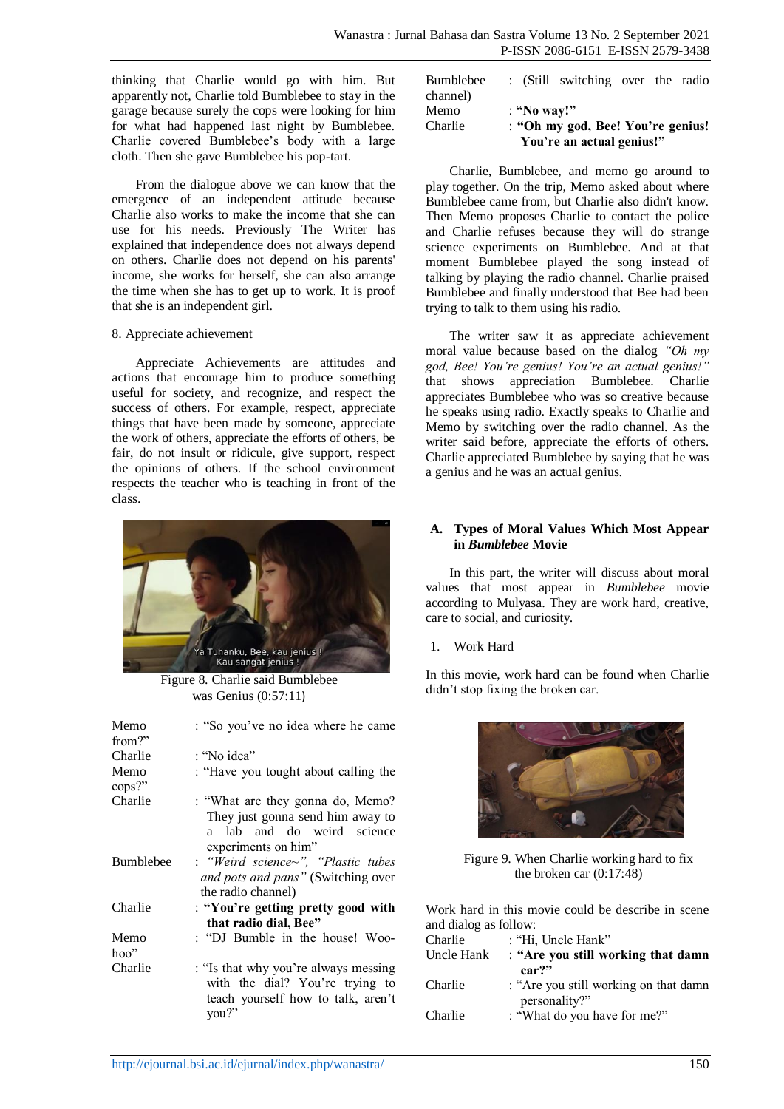thinking that Charlie would go with him. But apparently not, Charlie told Bumblebee to stay in the garage because surely the cops were looking for him for what had happened last night by Bumblebee. Charlie covered Bumblebee's body with a large cloth. Then she gave Bumblebee his pop-tart.

From the dialogue above we can know that the emergence of an independent attitude because Charlie also works to make the income that she can use for his needs. Previously The Writer has explained that independence does not always depend on others. Charlie does not depend on his parents' income, she works for herself, she can also arrange the time when she has to get up to work. It is proof that she is an independent girl.

### 8. Appreciate achievement

Appreciate Achievements are attitudes and actions that encourage him to produce something useful for society, and recognize, and respect the success of others. For example, respect, appreciate things that have been made by someone, appreciate the work of others, appreciate the efforts of others, be fair, do not insult or ridicule, give support, respect the opinions of others. If the school environment respects the teacher who is teaching in front of the class.



Figure 8. Charlie said Bumblebee was Genius (0:57:11)

| Memo<br>from?"   | : "So you've no idea where he came                                                                                            |
|------------------|-------------------------------------------------------------------------------------------------------------------------------|
| Charlie          | : "No idea"                                                                                                                   |
| Memo<br>cops?"   | : "Have you tought about calling the                                                                                          |
| Charlie          | : "What are they gonna do, Memo?<br>They just gonna send him away to<br>lab and do weird science<br>a.<br>experiments on him" |
| <b>Bumblebee</b> | : "Weird science~", "Plastic tubes<br>and pots and pans" (Switching over<br>the radio channel)                                |
| Charlie          | : "You're getting pretty good with<br>that radio dial, Bee"                                                                   |
| Memo<br>hoo"     | : "DJ Bumble in the house! Woo-                                                                                               |
| Charlie          | : "Is that why you're always messing<br>with the dial? You're trying to<br>teach yourself how to talk, aren't<br>vou?"        |

| <b>Bumblebee</b> | : (Still switching over the radio |
|------------------|-----------------------------------|
| channel)         |                                   |
| Memo             | : "No way!"                       |
| Charlie          | : "Oh my god, Bee! You're genius! |
|                  | You're an actual genius!"         |

Charlie, Bumblebee, and memo go around to play together. On the trip, Memo asked about where Bumblebee came from, but Charlie also didn't know. Then Memo proposes Charlie to contact the police and Charlie refuses because they will do strange science experiments on Bumblebee. And at that moment Bumblebee played the song instead of talking by playing the radio channel. Charlie praised Bumblebee and finally understood that Bee had been trying to talk to them using his radio.

The writer saw it as appreciate achievement moral value because based on the dialog *"Oh my god, Bee! You're genius! You're an actual genius!"*  that shows appreciation Bumblebee. Charlie appreciates Bumblebee who was so creative because he speaks using radio. Exactly speaks to Charlie and Memo by switching over the radio channel. As the writer said before, appreciate the efforts of others. Charlie appreciated Bumblebee by saying that he was a genius and he was an actual genius.

### **A. Types of Moral Values Which Most Appear in** *Bumblebee* **Movie**

In this part, the writer will discuss about moral values that most appear in *Bumblebee* movie according to Mulyasa. They are work hard, creative, care to social, and curiosity.

### 1. Work Hard

In this movie, work hard can be found when Charlie didn't stop fixing the broken car.



Figure 9. When Charlie working hard to fix the broken car (0:17:48)

Work hard in this movie could be describe in scene and dialog as follow:

| and dialog as follow. |                                       |
|-----------------------|---------------------------------------|
| Charlie               | : "Hi, Uncle Hank"                    |
| Uncle Hank            | : "Are you still working that damn    |
|                       | car?"                                 |
| Charlie               | : "Are you still working on that damn |
|                       | personality?"                         |
| Charlie               | : "What do you have for me?"          |
|                       |                                       |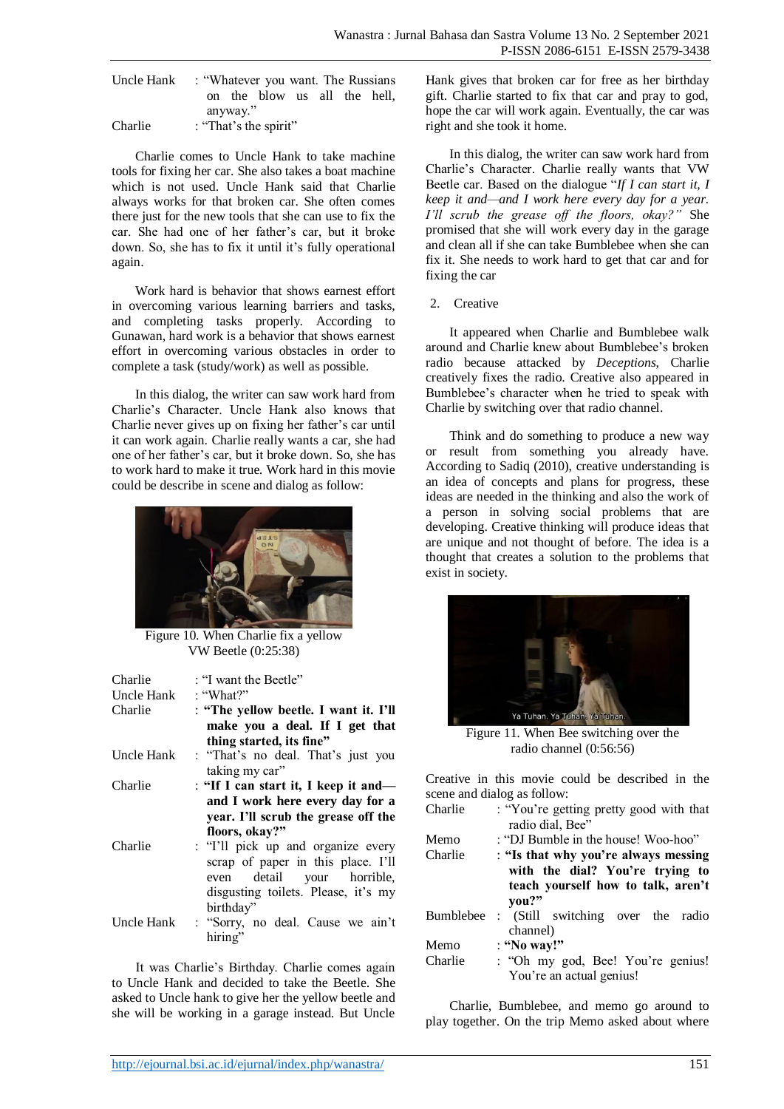| Uncle Hank | : "Whatever you want. The Russians" |
|------------|-------------------------------------|
|            | on the blow us all the hell.        |
|            | anyway."                            |
| Charlie    | : "That's the spirit"               |

Charlie comes to Uncle Hank to take machine tools for fixing her car. She also takes a boat machine which is not used. Uncle Hank said that Charlie always works for that broken car. She often comes there just for the new tools that she can use to fix the car. She had one of her father's car, but it broke down. So, she has to fix it until it's fully operational again.

Work hard is behavior that shows earnest effort in overcoming various learning barriers and tasks, and completing tasks properly. According to Gunawan, hard work is a behavior that shows earnest effort in overcoming various obstacles in order to complete a task (study/work) as well as possible.

In this dialog, the writer can saw work hard from Charlie's Character. Uncle Hank also knows that Charlie never gives up on fixing her father's car until it can work again. Charlie really wants a car, she had one of her father's car, but it broke down. So, she has to work hard to make it true. Work hard in this movie could be describe in scene and dialog as follow:



Figure 10. When Charlie fix a yellow VW Beetle (0:25:38)

| Charlie<br>Uncle Hank<br>Charlie | : "I want the Beetle"<br>: "What?"<br>: "The yellow beetle. I want it. I'll<br>make you a deal. If I get that<br>thing started, its fine"                                                                 |
|----------------------------------|-----------------------------------------------------------------------------------------------------------------------------------------------------------------------------------------------------------|
| Uncle Hank                       | : "That's no deal. That's just you<br>taking my car"                                                                                                                                                      |
| Charlie                          | : "If I can start it, I keep it and—<br>and I work here every day for a                                                                                                                                   |
| Charlie                          | year. I'll scrub the grease off the<br>floors, okay?"<br>: "I'll pick up and organize every<br>scrap of paper in this place. I'll<br>detail your horrible,<br>even<br>disgusting toilets. Please, it's my |
| Uncle Hank                       | birthday"<br>: "Sorry, no deal. Cause we ain't<br>hiring"                                                                                                                                                 |

It was Charlie's Birthday. Charlie comes again to Uncle Hank and decided to take the Beetle. She asked to Uncle hank to give her the yellow beetle and she will be working in a garage instead. But Uncle

Hank gives that broken car for free as her birthday gift. Charlie started to fix that car and pray to god, hope the car will work again. Eventually, the car was right and she took it home.

In this dialog, the writer can saw work hard from Charlie's Character. Charlie really wants that VW Beetle car. Based on the dialogue "*If I can start it, I keep it and—and I work here every day for a year. I'll scrub the grease off the floors, okay?"* She promised that she will work every day in the garage and clean all if she can take Bumblebee when she can fix it. She needs to work hard to get that car and for fixing the car

2. Creative

It appeared when Charlie and Bumblebee walk around and Charlie knew about Bumblebee's broken radio because attacked by *Deceptions*, Charlie creatively fixes the radio. Creative also appeared in Bumblebee's character when he tried to speak with Charlie by switching over that radio channel.

Think and do something to produce a new way or result from something you already have. According to Sadiq (2010), creative understanding is an idea of concepts and plans for progress, these ideas are needed in the thinking and also the work of a person in solving social problems that are developing. Creative thinking will produce ideas that are unique and not thought of before. The idea is a thought that creates a solution to the problems that exist in society.



Figure 11. When Bee switching over the radio channel (0:56:56)

Creative in this movie could be described in the scene and dialog as follow:

| Charlie          | : "You're getting pretty good with that<br>radio dial, Bee" |
|------------------|-------------------------------------------------------------|
|                  |                                                             |
| Memo             | : "DJ Bumble in the house! Woo-hoo"                         |
| Charlie          | : "Is that why you're always messing                        |
|                  | with the dial? You're trying to                             |
|                  | teach yourself how to talk, aren't                          |
|                  | vou?"                                                       |
| <b>Bumblebee</b> | : (Still switching over the radio                           |
|                  | channel)                                                    |
| Memo             | : "No way!"                                                 |
| Charlie          | : "Oh my god, Bee! You're genius!                           |
|                  | You're an actual genius!                                    |

Charlie, Bumblebee, and memo go around to play together. On the trip Memo asked about where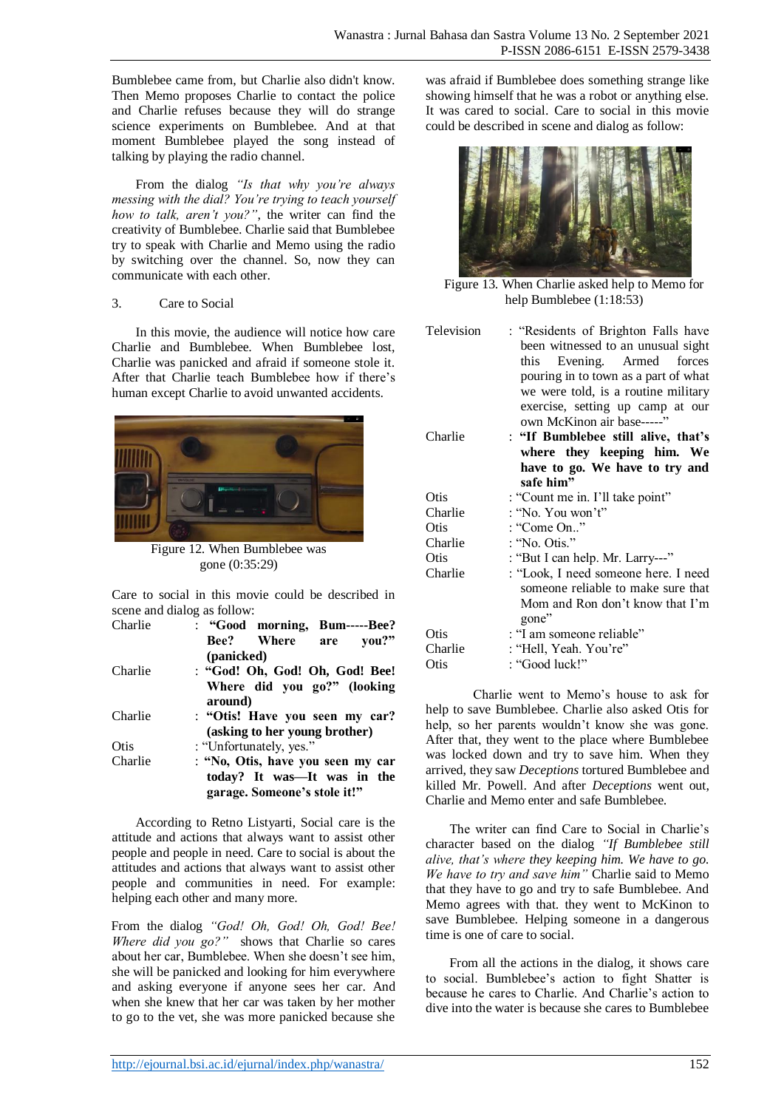Bumblebee came from, but Charlie also didn't know. Then Memo proposes Charlie to contact the police and Charlie refuses because they will do strange science experiments on Bumblebee. And at that moment Bumblebee played the song instead of talking by playing the radio channel.

From the dialog *"Is that why you're always messing with the dial? You're trying to teach yourself how to talk, aren't you?"*, the writer can find the creativity of Bumblebee. Charlie said that Bumblebee try to speak with Charlie and Memo using the radio by switching over the channel. So, now they can communicate with each other.

### 3. Care to Social

In this movie, the audience will notice how care Charlie and Bumblebee. When Bumblebee lost, Charlie was panicked and afraid if someone stole it. After that Charlie teach Bumblebee how if there's human except Charlie to avoid unwanted accidents.



Figure 12. When Bumblebee was gone (0:35:29)

Care to social in this movie could be described in scene and dialog as follow:

| Charlie | : "Good morning, Bum-----Bee?          |
|---------|----------------------------------------|
|         | <b>Bee?</b> Where<br>you?"<br>are      |
|         | (panicked)                             |
| Charlie | : "God! Oh, God! Oh, God! Bee!         |
|         | Where did you go?" (looking<br>around) |
| Charlie | : "Otis! Have you seen my car?         |
|         | (asking to her young brother)          |
| Otis    | : "Unfortunately, yes."                |
| Charlie | : "No, Otis, have you seen my car      |
|         | today? It was—It was in the            |
|         | garage. Someone's stole it!"           |

According to Retno Listyarti, Social care is the attitude and actions that always want to assist other people and people in need. Care to social is about the attitudes and actions that always want to assist other people and communities in need. For example: helping each other and many more.

From the dialog *"God! Oh, God! Oh, God! Bee! Where did you go?"* shows that Charlie so cares about her car, Bumblebee. When she doesn't see him, she will be panicked and looking for him everywhere and asking everyone if anyone sees her car. And when she knew that her car was taken by her mother to go to the vet, she was more panicked because she was afraid if Bumblebee does something strange like showing himself that he was a robot or anything else. It was cared to social. Care to social in this movie could be described in scene and dialog as follow:



Figure 13. When Charlie asked help to Memo for help Bumblebee (1:18:53)

Television : "Residents of Brighton Falls have been witnessed to an unusual sight this Evening. Armed forces pouring in to town as a part of what we were told, is a routine military exercise, setting up camp at our own McKinon air base-----'

| Charlie | : "If Bumblebee still alive, that's<br>where they keeping him. We<br>have to go. We have to try and<br>safe him" |
|---------|------------------------------------------------------------------------------------------------------------------|
| Otis    | : "Count me in. I'll take point"                                                                                 |
| Charlie | : "No. You won't"                                                                                                |
| Otis    | : "Come On"                                                                                                      |
| Charlie | : "No. Otis."                                                                                                    |
| Otis    | : "But I can help. Mr. Larry---"                                                                                 |
| Charlie | : "Look, I need someone here. I need<br>someone reliable to make sure that<br>Mom and Ron don't know that I'm    |
|         | gone"                                                                                                            |
| Otis    | : "I am someone reliable"                                                                                        |
| Charlie | : "Hell, Yeah. You're"                                                                                           |
| Otis    | : "Good luck!"                                                                                                   |

Charlie went to Memo's house to ask for help to save Bumblebee. Charlie also asked Otis for help, so her parents wouldn't know she was gone. After that, they went to the place where Bumblebee was locked down and try to save him. When they arrived, they saw *Deceptions* tortured Bumblebee and killed Mr. Powell. And after *Deceptions* went out, Charlie and Memo enter and safe Bumblebee.

The writer can find Care to Social in Charlie's character based on the dialog *"If Bumblebee still alive, that's where they keeping him. We have to go. We have to try and save him"* Charlie said to Memo that they have to go and try to safe Bumblebee. And Memo agrees with that. they went to McKinon to save Bumblebee. Helping someone in a dangerous time is one of care to social.

From all the actions in the dialog, it shows care to social. Bumblebee's action to fight Shatter is because he cares to Charlie. And Charlie's action to dive into the water is because she cares to Bumblebee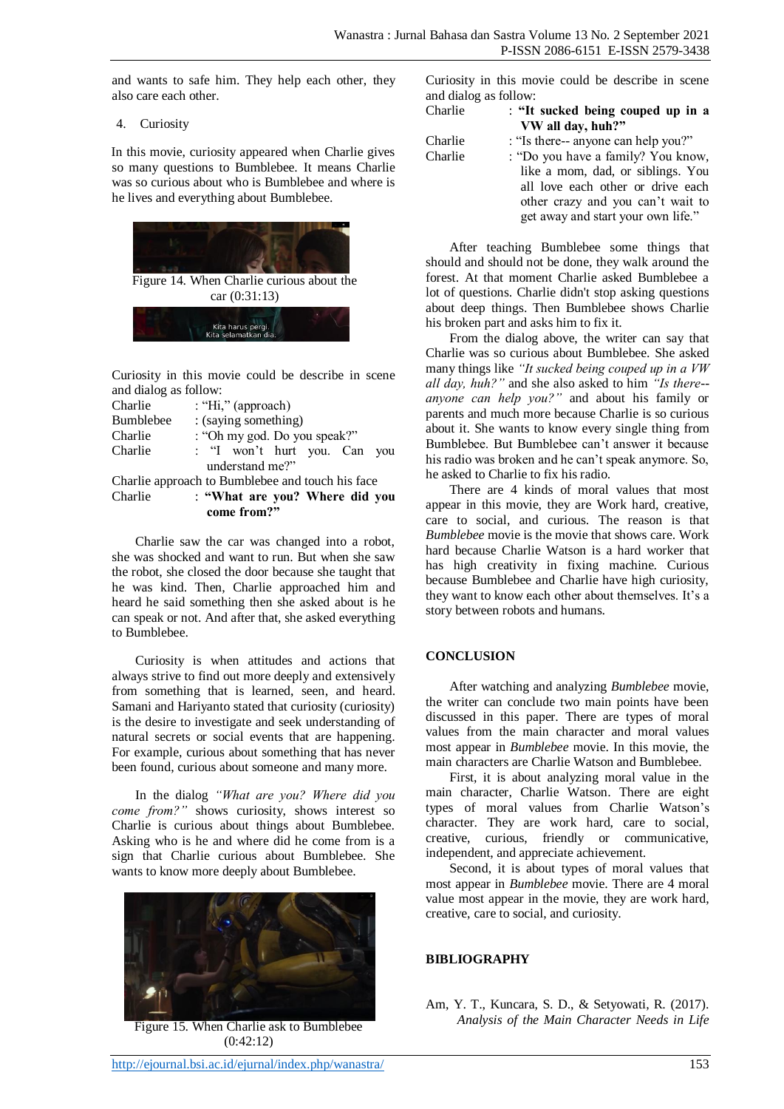and wants to safe him. They help each other, they also care each other.

4. Curiosity

In this movie, curiosity appeared when Charlie gives so many questions to Bumblebee. It means Charlie was so curious about who is Bumblebee and where is he lives and everything about Bumblebee.



Curiosity in this movie could be describe in scene and dialog as follow:

|                                                  |                      | come from?"                    |  |  |  |     |
|--------------------------------------------------|----------------------|--------------------------------|--|--|--|-----|
| Charlie                                          |                      | : "What are you? Where did you |  |  |  |     |
| Charlie approach to Bumblebee and touch his face |                      |                                |  |  |  |     |
|                                                  |                      | understand me?"                |  |  |  |     |
| Charlie                                          |                      | : "I won't hurt you. Can       |  |  |  | vou |
| Charlie                                          |                      | : "Oh my god. Do you speak?"   |  |  |  |     |
| <b>Bumblebee</b>                                 | : (saying something) |                                |  |  |  |     |
| Charlie                                          |                      | : "Hi," (approach)             |  |  |  |     |
|                                                  |                      |                                |  |  |  |     |

Charlie saw the car was changed into a robot, she was shocked and want to run. But when she saw the robot, she closed the door because she taught that he was kind. Then, Charlie approached him and heard he said something then she asked about is he can speak or not. And after that, she asked everything to Bumblebee.

Curiosity is when attitudes and actions that always strive to find out more deeply and extensively from something that is learned, seen, and heard. Samani and Hariyanto stated that curiosity (curiosity) is the desire to investigate and seek understanding of natural secrets or social events that are happening. For example, curious about something that has never been found, curious about someone and many more.

In the dialog *"What are you? Where did you come from?"* shows curiosity, shows interest so Charlie is curious about things about Bumblebee. Asking who is he and where did he come from is a sign that Charlie curious about Bumblebee. She wants to know more deeply about Bumblebee.



Figure 15. When Charlie ask to Bumblebee (0:42:12)

Curiosity in this movie could be describe in scene and dialog as follow:

| Charlie | : "It sucked being couped up in a   |
|---------|-------------------------------------|
|         | VW all day, huh?"                   |
| Charlie | : "Is there-- anyone can help you?" |
| Charlie | : "Do you have a family? You know,  |
|         | like a mom, dad, or siblings. You   |
|         | all love each other or drive each   |
|         | other crazy and you can't wait to   |
|         | get away and start your own life."  |

After teaching Bumblebee some things that should and should not be done, they walk around the forest. At that moment Charlie asked Bumblebee a lot of questions. Charlie didn't stop asking questions about deep things. Then Bumblebee shows Charlie his broken part and asks him to fix it.

From the dialog above, the writer can say that Charlie was so curious about Bumblebee. She asked many things like *"It sucked being couped up in a VW all day, huh?"* and she also asked to him *"Is there- anyone can help you?"* and about his family or parents and much more because Charlie is so curious about it. She wants to know every single thing from Bumblebee. But Bumblebee can't answer it because his radio was broken and he can't speak anymore. So, he asked to Charlie to fix his radio.

There are 4 kinds of moral values that most appear in this movie, they are Work hard, creative, care to social, and curious. The reason is that *Bumblebee* movie is the movie that shows care. Work hard because Charlie Watson is a hard worker that has high creativity in fixing machine. Curious because Bumblebee and Charlie have high curiosity, they want to know each other about themselves. It's a story between robots and humans.

# **CONCLUSION**

After watching and analyzing *Bumblebee* movie, the writer can conclude two main points have been discussed in this paper. There are types of moral values from the main character and moral values most appear in *Bumblebee* movie. In this movie, the main characters are Charlie Watson and Bumblebee.

First, it is about analyzing moral value in the main character, Charlie Watson. There are eight types of moral values from Charlie Watson's character. They are work hard, care to social, creative, curious, friendly or communicative, independent, and appreciate achievement.

Second, it is about types of moral values that most appear in *Bumblebee* movie. There are 4 moral value most appear in the movie, they are work hard, creative, care to social, and curiosity.

### **BIBLIOGRAPHY**

Am, Y. T., Kuncara, S. D., & Setyowati, R. (2017). *Analysis of the Main Character Needs in Life*